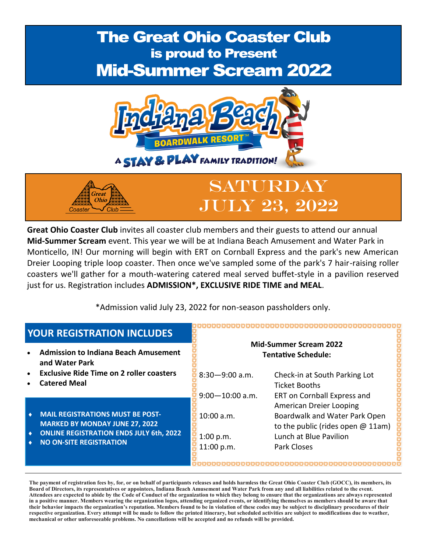## **The Great Ohio Coaster Club** is proud to Present **Mid-Summer Scream 2022**



Saturday



just for us. Registration includes **ADMISSION\*, EXCLUSIVE RIDE TIME and MEAL**.

Great

\*Admission valid July 23, 2022 for non-season passholders only.

| <b>YOUR REGISTRATION INCLUDES</b>                                                             |                                                             |                                                                      |  |  |  |  |
|-----------------------------------------------------------------------------------------------|-------------------------------------------------------------|----------------------------------------------------------------------|--|--|--|--|
| <b>Admission to Indiana Beach Amusement</b><br>and Water Park                                 | <b>Mid-Summer Scream 2022</b><br><b>Tentative Schedule:</b> |                                                                      |  |  |  |  |
| <b>Exclusive Ride Time on 2 roller coasters</b><br><b>Catered Meal</b>                        | $8:30 - 9:00$ a.m.                                          | Check-in at South Parking Lot<br><b>Ticket Booths</b>                |  |  |  |  |
|                                                                                               | $9:00 - 10:00$ a.m.                                         | ERT on Cornball Express and<br>American Dreier Looping               |  |  |  |  |
| <b>MAIL REGISTRATIONS MUST BE POST-</b><br>۰<br><b>MARKED BY MONDAY JUNE 27, 2022</b>         | 10:00 a.m.                                                  | Boardwalk and Water Park Open<br>to the public (rides open $@$ 11am) |  |  |  |  |
| <b>ONLINE REGISTRATION ENDS JULY 6th, 2022</b><br>$\bullet$<br><b>NO ON-SITE REGISTRATION</b> | 1:00 p.m.<br>11:00 p.m.                                     | Lunch at Blue Pavilion<br><b>Park Closes</b>                         |  |  |  |  |

**The payment of registration fees by, for, or on behalf of participants releases and holds harmless the Great Ohio Coaster Club (GOCC), its members, its Board of Directors, its representatives or appointees, Indiana Beach Amusement and Water Park from any and all liabilities related to the event. Attendees are expected to abide by the Code of Conduct of the organization to which they belong to ensure that the organizations are always represented in a positive manner. Members wearing the organization logos, attending organized events, or identifying themselves as members should be aware that their behavior impacts the organization's reputation. Members found to be in violation of these codes may be subject to disciplinary procedures of their respective organization. Every attempt will be made to follow the printed itinerary, but scheduled activities are subject to modifications due to weather, mechanical or other unforeseeable problems. No cancellations will be accepted and no refunds will be provided.**